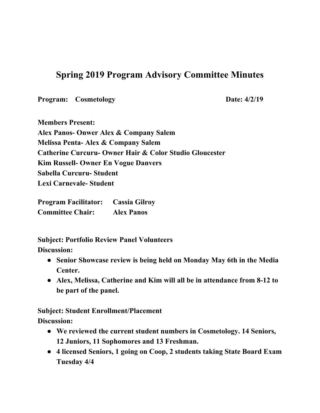## **Spring 2019 Program Advisory Committee Minutes**

**Program:** Cosmetology **Date:**  $4/2/19$ 

**Members Present: Alex Panos- Onwer Alex & Company Salem Melissa Penta- Alex & Company Salem Catherine Curcuru- Owner Hair & Color Studio Gloucester Kim Russell- Owner En Vogue Danvers Sabella Curcuru- Student Lexi Carnevale- Student**

**Program Facilitator: Cassia Gilroy Committee Chair: Alex Panos**

**Subject: Portfolio Review Panel Volunteers Discussion:**

- **● Senior Showcase review is being held on Monday May 6th in the Media Center.**
- **● Alex, Melissa, Catherine and Kim will all be in attendance from 8-12 to be part of the panel.**

**Subject: Student Enrollment/Placement**

**Discussion:**

- **● We reviewed the current student numbers in Cosmetology. 14 Seniors, 12 Juniors, 11 Sophomores and 13 Freshman.**
- **● 4 licensed Seniors, 1 going on Coop, 2 students taking State Board Exam Tuesday 4/4**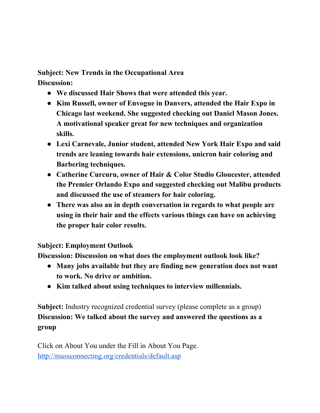**Subject: New Trends in the Occupational Area Discussion:**

- **● We discussed Hair Shows that were attended this year.**
- **● Kim Russell, owner of Envogue in Danvers, attended the Hair Expo in Chicago last weekend. She suggested checking out Daniel Mason Jones. A motivational speaker great for new techniques and organization skills.**
- **● Lexi Carnevale, Junior student, attended New York Hair Expo and said trends are leaning towards hair extensions, unicron hair coloring and Barbering techniques.**
- **● Catherine Curcuru, owner of Hair & Color Studio Gloucester, attended the Premier Orlando Expo and suggested checking out Malibu products and discussed the use of steamers for hair coloring.**
- **● There was also an in depth conversation in regards to what people are using in their hair and the effects various things can have on achieving the proper hair color results.**

## **Subject: Employment Outlook**

**Discussion: Discussion on what does the employment outlook look like?**

- **● Many jobs available but they are finding new generation does not want to work. No drive or ambition.**
- **● Kim talked about using techniques to interview millennials.**

**Subject:** Industry recognized credential survey (please complete as a group) **Discussion: We talked about the survey and answered the questions as a group**

Click on About You under the Fill in About You Page. <http://massconnecting.org/credentials/default.asp>